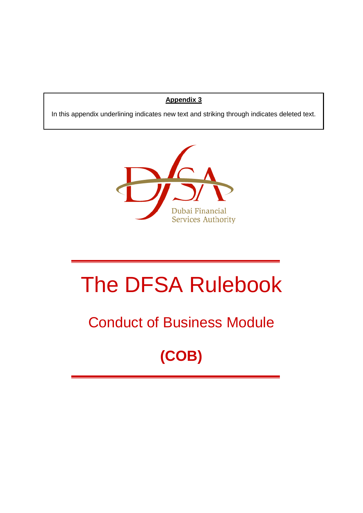## **Appendix 3**

In this appendix underlining indicates new text and striking through indicates deleted text.



# The DFSA Rulebook

## Conduct of Business Module

## **(COB)**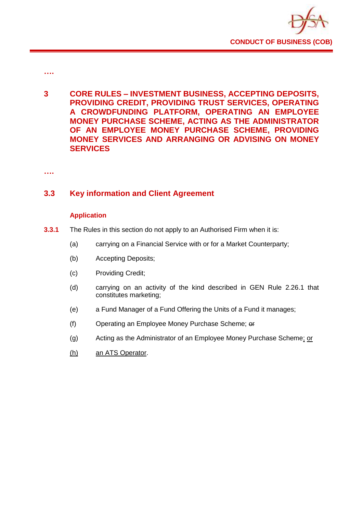

- **….**
- **3 CORE RULES – INVESTMENT BUSINESS, ACCEPTING DEPOSITS, PROVIDING CREDIT, PROVIDING TRUST SERVICES, OPERATING A CROWDFUNDING PLATFORM, OPERATING AN EMPLOYEE MONEY PURCHASE SCHEME, ACTING AS THE ADMINISTRATOR OF AN EMPLOYEE MONEY PURCHASE SCHEME, PROVIDING MONEY SERVICES AND ARRANGING OR ADVISING ON MONEY SERVICES**

**….**

## **3.3 Key information and Client Agreement**

#### **Application**

- **3.3.1** The Rules in this section do not apply to an Authorised Firm when it is:
	- (a) carrying on a Financial Service with or for a Market Counterparty;
	- (b) Accepting Deposits;
	- (c) Providing Credit;
	- (d) carrying on an activity of the kind described in GEN Rule 2.26.1 that constitutes marketing;
	- (e) a Fund Manager of a Fund Offering the Units of a Fund it manages;
	- (f) Operating an Employee Money Purchase Scheme; or
	- (g) Acting as the Administrator of an Employee Money Purchase Scheme; or
	- (h) an ATS Operator.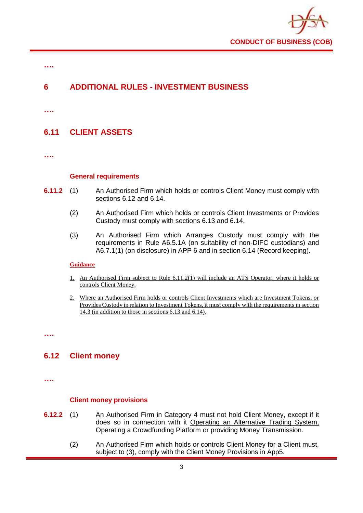

## **6 ADDITIONAL RULES - INVESTMENT BUSINESS**

**….**

**….**

## **6.11 CLIENT ASSETS**

**….**

#### **General requirements**

- **6.11.2** (1) An Authorised Firm which holds or controls Client Money must comply with sections 6.12 and 6.14.
	- (2) An Authorised Firm which holds or controls Client Investments or Provides Custody must comply with sections 6.13 and 6.14.
	- (3) An Authorised Firm which Arranges Custody must comply with the requirements in Rule A6.5.1A (on suitability of non-DIFC custodians) and A6.7.1(1) (on disclosure) in APP 6 and in section 6.14 (Record keeping).

#### **Guidance**

- 1. An Authorised Firm subject to Rule 6.11.2(1) will include an ATS Operator, where it holds or controls Client Money.
- 2. Where an Authorised Firm holds or controls Client Investments which are Investment Tokens, or Provides Custody in relation to Investment Tokens, it must comply with the requirements in section 14.3 (in addition to those in sections 6.13 and 6.14).

**….**

## **6.12 Client money**

**….**

#### **Client money provisions**

- **6.12.2** (1) An Authorised Firm in Category 4 must not hold Client Money, except if it does so in connection with it Operating an Alternative Trading System, Operating a Crowdfunding Platform or providing Money Transmission.
	- (2) An Authorised Firm which holds or controls Client Money for a Client must, subject to (3), comply with the Client Money Provisions in App5.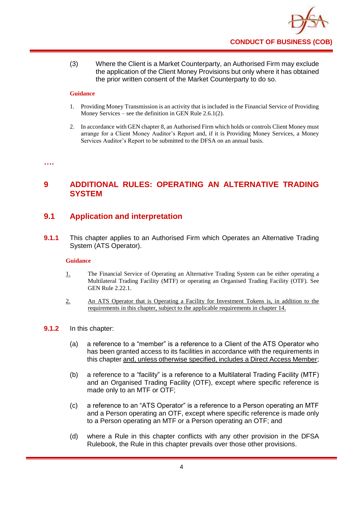

(3) Where the Client is a Market Counterparty, an Authorised Firm may exclude the application of the Client Money Provisions but only where it has obtained the prior written consent of the Market Counterparty to do so.

#### **Guidance**

- 1. Providing Money Transmission is an activity that is included in the Financial Service of Providing Money Services – see the definition in GEN Rule 2.6.1(2).
- 2. In accordance with GEN chapter 8, an Authorised Firm which holds or controls Client Money must arrange for a Client Money Auditor's Report and, if it is Providing Money Services, a Money Services Auditor's Report to be submitted to the DFSA on an annual basis.

#### **….**

## **9 ADDITIONAL RULES: OPERATING AN ALTERNATIVE TRADING SYSTEM**

## **9.1 Application and interpretation**

**9.1.1** This chapter applies to an Authorised Firm which Operates an Alternative Trading System (ATS Operator).

#### **Guidance**

- 1. The Financial Service of Operating an Alternative Trading System can be either operating a Multilateral Trading Facility (MTF) or operating an Organised Trading Facility (OTF). See GEN Rule 2.22.1.
- 2. An ATS Operator that is Operating a Facility for Investment Tokens is, in addition to the requirements in this chapter, subject to the applicable requirements in chapter 14.

#### **9.1.2** In this chapter:

- (a) a reference to a "member" is a reference to a Client of the ATS Operator who has been granted access to its facilities in accordance with the requirements in this chapter and, unless otherwise specified, includes a Direct Access Member;
- (b) a reference to a "facility" is a reference to a Multilateral Trading Facility (MTF) and an Organised Trading Facility (OTF), except where specific reference is made only to an MTF or OTF;
- (c) a reference to an "ATS Operator" is a reference to a Person operating an MTF and a Person operating an OTF, except where specific reference is made only to a Person operating an MTF or a Person operating an OTF; and
- (d) where a Rule in this chapter conflicts with any other provision in the DFSA Rulebook, the Rule in this chapter prevails over those other provisions.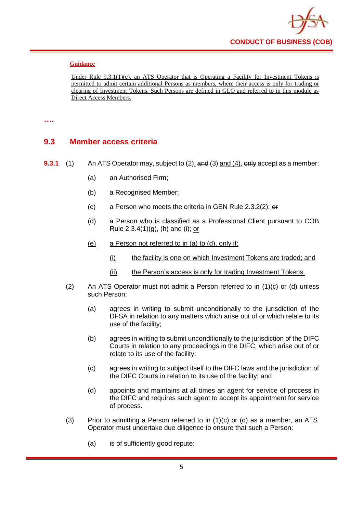

Under Rule 9.3.1(1)(e), an ATS Operator that is Operating a Facility for Investment Tokens is permitted to admit certain additional Persons as members, where their access is only for trading or clearing of Investment Tokens. Such Persons are defined in GLO and referred to in this module as Direct Access Members.

#### **….**

## **9.3 Member access criteria**

- **9.3.1** (1) An ATS Operator may, subject to (2), and (3) and (4), only accept as a member:
	- (a) an Authorised Firm;
	- (b) a Recognised Member;
	- (c) a Person who meets the criteria in GEN Rule 2.3.2(2);  $\theta$
	- (d) a Person who is classified as a Professional Client pursuant to COB Rule  $2.3.4(1)(g)$ , (h) and (i); or
	- (e) a Person not referred to in (a) to (d), only if:
		- (i) the facility is one on which Investment Tokens are traded; and
		- (ii) the Person's access is only for trading Investment Tokens.
	- (2) An ATS Operator must not admit a Person referred to in (1)(c) or (d) unless such Person:
		- (a) agrees in writing to submit unconditionally to the jurisdiction of the DFSA in relation to any matters which arise out of or which relate to its use of the facility;
		- (b) agrees in writing to submit unconditionally to the jurisdiction of the DIFC Courts in relation to any proceedings in the DIFC, which arise out of or relate to its use of the facility;
		- (c) agrees in writing to subject itself to the DIFC laws and the jurisdiction of the DIFC Courts in relation to its use of the facility; and
		- (d) appoints and maintains at all times an agent for service of process in the DIFC and requires such agent to accept its appointment for service of process.
	- (3) Prior to admitting a Person referred to in  $(1)(c)$  or  $(d)$  as a member, an ATS Operator must undertake due diligence to ensure that such a Person:
		- (a) is of sufficiently good repute;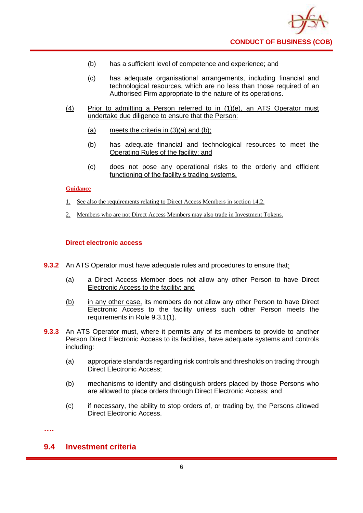

- (b) has a sufficient level of competence and experience; and
- (c) has adequate organisational arrangements, including financial and technological resources, which are no less than those required of an Authorised Firm appropriate to the nature of its operations.
- (4) Prior to admitting a Person referred to in (1)(e), an ATS Operator must undertake due diligence to ensure that the Person:
	- (a) meets the criteria in  $(3)(a)$  and  $(b)$ ;
	- (b) has adequate financial and technological resources to meet the Operating Rules of the facility; and
	- (c) does not pose any operational risks to the orderly and efficient functioning of the facility's trading systems.

- 1. See also the requirements relating to Direct Access Members in section 14.2.
- 2. Members who are not Direct Access Members may also trade in Investment Tokens.

#### **Direct electronic access**

- **9.3.2** An ATS Operator must have adequate rules and procedures to ensure that:
	- (a) a Direct Access Member does not allow any other Person to have Direct Electronic Access to the facility; and
	- (b) in any other case, its members do not allow any other Person to have Direct Electronic Access to the facility unless such other Person meets the requirements in Rule 9.3.1(1).
- **9.3.3** An ATS Operator must, where it permits any of its members to provide to another Person Direct Electronic Access to its facilities, have adequate systems and controls including:
	- (a) appropriate standards regarding risk controls and thresholds on trading through Direct Electronic Access;
	- (b) mechanisms to identify and distinguish orders placed by those Persons who are allowed to place orders through Direct Electronic Access; and
	- (c) if necessary, the ability to stop orders of, or trading by, the Persons allowed Direct Electronic Access.

**….**

## **9.4 Investment criteria**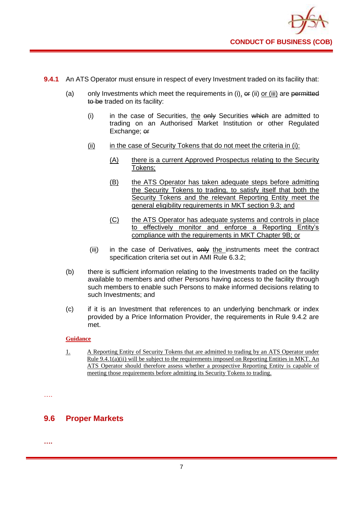

- **9.4.1** An ATS Operator must ensure in respect of every Investment traded on its facility that:
	- (a) only Investments which meet the requirements in  $(i)$ ,  $\sigma$ r  $(ii)$  or  $(iii)$  are permitted to be traded on its facility:
		- (i) in the case of Securities, the only Securities which are admitted to trading on an Authorised Market Institution or other Regulated Exchange; er
		- $(iii)$  in the case of Security Tokens that do not meet the criteria in  $(i)$ :
			- (A) there is a current Approved Prospectus relating to the Security Tokens;
			- (B) the ATS Operator has taken adequate steps before admitting the Security Tokens to trading, to satisfy itself that both the Security Tokens and the relevant Reporting Entity meet the general eligibility requirements in MKT section 9.3; and
			- (C) the ATS Operator has adequate systems and controls in place to effectively monitor and enforce a Reporting Entity's compliance with the requirements in MKT Chapter 9B; or
		- (iii) in the case of Derivatives, only the instruments meet the contract specification criteria set out in AMI Rule 6.3.2;
	- (b) there is sufficient information relating to the Investments traded on the facility available to members and other Persons having access to the facility through such members to enable such Persons to make informed decisions relating to such Investments; and
	- (c) if it is an Investment that references to an underlying benchmark or index provided by a Price Information Provider, the requirements in Rule 9.4.2 are met.

1. A Reporting Entity of Security Tokens that are admitted to trading by an ATS Operator under Rule 9.4.1(a)(ii) will be subject to the requirements imposed on Reporting Entities in MKT. An ATS Operator should therefore assess whether a prospective Reporting Entity is capable of meeting those requirements before admitting its Security Tokens to trading.

….

## **9.6 Proper Markets**

**….**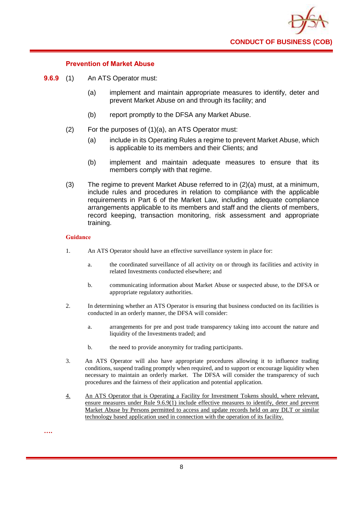

#### **Prevention of Market Abuse**

- **9.6.9** (1) An ATS Operator must:
	- (a) implement and maintain appropriate measures to identify, deter and prevent Market Abuse on and through its facility; and
	- (b) report promptly to the DFSA any Market Abuse.
	- (2) For the purposes of (1)(a), an ATS Operator must:
		- (a) include in its Operating Rules a regime to prevent Market Abuse, which is applicable to its members and their Clients; and
		- (b) implement and maintain adequate measures to ensure that its members comply with that regime.
	- (3) The regime to prevent Market Abuse referred to in (2)(a) must, at a minimum, include rules and procedures in relation to compliance with the applicable requirements in Part 6 of the Market Law, including adequate compliance arrangements applicable to its members and staff and the clients of members, record keeping, transaction monitoring, risk assessment and appropriate training.

- 1. An ATS Operator should have an effective surveillance system in place for:
	- a. the coordinated surveillance of all activity on or through its facilities and activity in related Investments conducted elsewhere; and
	- b. communicating information about Market Abuse or suspected abuse, to the DFSA or appropriate regulatory authorities.
- 2. In determining whether an ATS Operator is ensuring that business conducted on its facilities is conducted in an orderly manner, the DFSA will consider:
	- a. arrangements for pre and post trade transparency taking into account the nature and liquidity of the Investments traded; and
	- b. the need to provide anonymity for trading participants.
- 3. An ATS Operator will also have appropriate procedures allowing it to influence trading conditions, suspend trading promptly when required, and to support or encourage liquidity when necessary to maintain an orderly market. The DFSA will consider the transparency of such procedures and the fairness of their application and potential application.
- 4. An ATS Operator that is Operating a Facility for Investment Tokens should, where relevant, ensure measures under Rule 9.6.9(1) include effective measures to identify, deter and prevent Market Abuse by Persons permitted to access and update records held on any DLT or similar technology based application used in connection with the operation of its facility.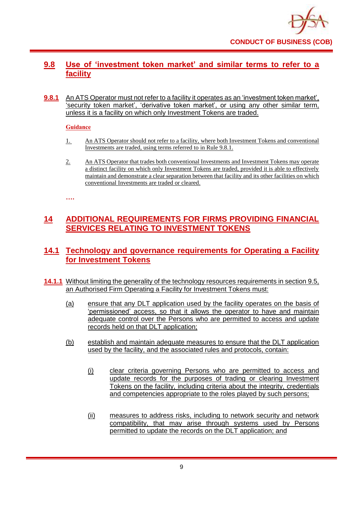

## **9.8 Use of 'investment token market' and similar terms to refer to a facility**

**9.8.1** An ATS Operator must not refer to a facility it operates as an 'investment token market', 'security token market', 'derivative token market', or using any other similar term, unless it is a facility on which only Investment Tokens are traded.

#### **Guidance**

- 1. An ATS Operator should not refer to a facility, where both Investment Tokens and conventional Investments are traded, using terms referred to in Rule 9.8.1.
- 2. An ATS Operator that trades both conventional Investments and Investment Tokens may operate a distinct facility on which only Investment Tokens are traded, provided it is able to effectively maintain and demonstrate a clear separation between that facility and its other facilities on which conventional Investments are traded or cleared.

**….**

## **14 ADDITIONAL REQUIREMENTS FOR FIRMS PROVIDING FINANCIAL SERVICES RELATING TO INVESTMENT TOKENS**

## **14.1 Technology and governance requirements for Operating a Facility for Investment Tokens**

- **14.1.1** Without limiting the generality of the technology resources requirements in section 9.5, an Authorised Firm Operating a Facility for Investment Tokens must:
	- (a) ensure that any DLT application used by the facility operates on the basis of 'permissioned' access, so that it allows the operator to have and maintain adequate control over the Persons who are permitted to access and update records held on that DLT application;
	- (b) establish and maintain adequate measures to ensure that the DLT application used by the facility, and the associated rules and protocols, contain:
		- (i) clear criteria governing Persons who are permitted to access and update records for the purposes of trading or clearing Investment Tokens on the facility, including criteria about the integrity, credentials and competencies appropriate to the roles played by such persons;
		- (ii) measures to address risks, including to network security and network compatibility, that may arise through systems used by Persons permitted to update the records on the DLT application; and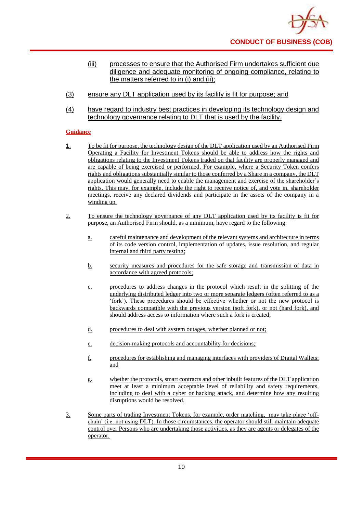

- (iii) processes to ensure that the Authorised Firm undertakes sufficient due diligence and adequate monitoring of ongoing compliance, relating to the matters referred to in (i) and (ii);
- (3) ensure any DLT application used by its facility is fit for purpose; and
- (4) have regard to industry best practices in developing its technology design and technology governance relating to DLT that is used by the facility.

- 1. To be fit for purpose, the technology design of the DLT application used by an Authorised Firm Operating a Facility for Investment Tokens should be able to address how the rights and obligations relating to the Investment Tokens traded on that facility are properly managed and are capable of being exercised or performed. For example, where a Security Token confers rights and obligations substantially similar to those conferred by a Share in a company, the DLT application would generally need to enable the management and exercise of the shareholder's rights. This may, for example, include the right to receive notice of, and vote in, shareholder meetings, receive any declared dividends and participate in the assets of the company in a winding up.
- 2. To ensure the technology governance of any DLT application used by its facility is fit for purpose, an Authorised Firm should, as a minimum, have regard to the following:
	- a. careful maintenance and development of the relevant systems and architecture in terms of its code version control, implementation of updates, issue resolution, and regular internal and third party testing;
	- b. security measures and procedures for the safe storage and transmission of data in accordance with agreed protocols;
	- c. procedures to address changes in the protocol which result in the splitting of the underlying distributed ledger into two or more separate ledgers (often referred to as a 'fork'). These procedures should be effective whether or not the new protocol is backwards compatible with the previous version (soft fork), or not (hard fork), and should address access to information where such a fork is created;
	- d. procedures to deal with system outages, whether planned or not;
	- e. decision-making protocols and accountability for decisions;
	- f. procedures for establishing and managing interfaces with providers of Digital Wallets; and
	- g. whether the protocols, smart contracts and other inbuilt features of the DLT application meet at least a minimum acceptable level of reliability and safety requirements, including to deal with a cyber or hacking attack, and determine how any resulting disruptions would be resolved.
- 3. Some parts of trading Investment Tokens, for example, order matching, may take place 'offchain' (i.e. not using DLT). In those circumstances, the operator should still maintain adequate control over Persons who are undertaking those activities, as they are agents or delegates of the operator.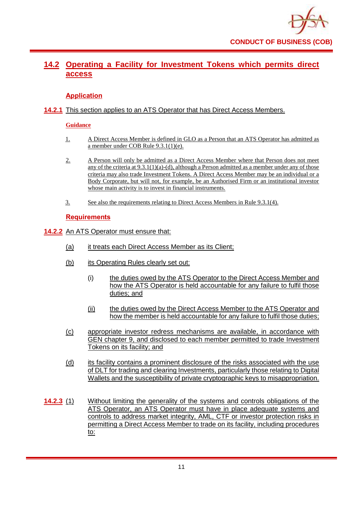

## **14.2 Operating a Facility for Investment Tokens which permits direct access**

#### **Application**

#### **14.2.1** This section applies to an ATS Operator that has Direct Access Members.

#### **Guidance**

- 1. A Direct Access Member is defined in GLO as a Person that an ATS Operator has admitted as a member under COB Rule 9.3.1(1)(e).
- 2. A Person will only be admitted as a Direct Access Member where that Person does not meet any of the criteria at  $9.3.1(1)(a)$ -(d), although a Person admitted as a member under any of those criteria may also trade Investment Tokens. A Direct Access Member may be an individual or a Body Corporate, but will not, for example, be an Authorised Firm or an institutional investor whose main activity is to invest in financial instruments.
- 3. See also the requirements relating to Direct Access Members in Rule 9.3.1(4).

#### **Requirements**

#### **14.2.2** An ATS Operator must ensure that:

- (a) it treats each Direct Access Member as its Client;
- (b) its Operating Rules clearly set out:
	- (i) the duties owed by the ATS Operator to the Direct Access Member and how the ATS Operator is held accountable for any failure to fulfil those duties; and
	- (ii) the duties owed by the Direct Access Member to the ATS Operator and how the member is held accountable for any failure to fulfil those duties;
- (c) appropriate investor redress mechanisms are available, in accordance with GEN chapter 9, and disclosed to each member permitted to trade Investment Tokens on its facility; and
- (d) its facility contains a prominent disclosure of the risks associated with the use of DLT for trading and clearing Investments, particularly those relating to Digital Wallets and the susceptibility of private cryptographic keys to misappropriation.
- **14.2.3** (1) Without limiting the generality of the systems and controls obligations of the ATS Operator, an ATS Operator must have in place adequate systems and controls to address market integrity, AML, CTF or investor protection risks in permitting a Direct Access Member to trade on its facility, including procedures to: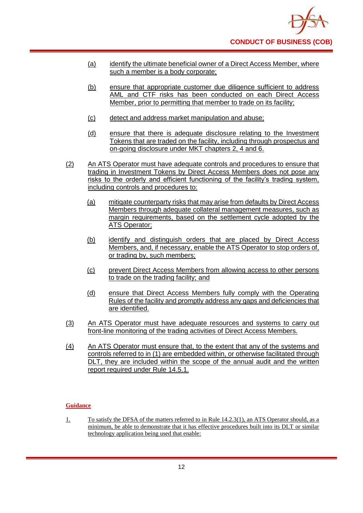

- (a) identify the ultimate beneficial owner of a Direct Access Member, where such a member is a body corporate;
- (b) ensure that appropriate customer due diligence sufficient to address AML and CTF risks has been conducted on each Direct Access Member, prior to permitting that member to trade on its facility;
- (c) detect and address market manipulation and abuse;
- (d) ensure that there is adequate disclosure relating to the Investment Tokens that are traded on the facility, including through prospectus and on-going disclosure under MKT chapters 2, 4 and 6.
- (2) An ATS Operator must have adequate controls and procedures to ensure that trading in Investment Tokens by Direct Access Members does not pose any risks to the orderly and efficient functioning of the facility's trading system, including controls and procedures to:
	- (a) mitigate counterparty risks that may arise from defaults by Direct Access Members through adequate collateral management measures, such as margin requirements, based on the settlement cycle adopted by the ATS Operator;
	- (b) identify and distinguish orders that are placed by Direct Access Members, and, if necessary, enable the ATS Operator to stop orders of, or trading by, such members;
	- (c) prevent Direct Access Members from allowing access to other persons to trade on the trading facility; and
	- (d) ensure that Direct Access Members fully comply with the Operating Rules of the facility and promptly address any gaps and deficiencies that are identified.
- (3) An ATS Operator must have adequate resources and systems to carry out front-line monitoring of the trading activities of Direct Access Members.
- (4) An ATS Operator must ensure that, to the extent that any of the systems and controls referred to in (1) are embedded within, or otherwise facilitated through DLT, they are included within the scope of the annual audit and the written report required under Rule 14.5.1.

1. To satisfy the DFSA of the matters referred to in Rule 14.2.3(1), an ATS Operator should, as a minimum, be able to demonstrate that it has effective procedures built into its DLT or similar technology application being used that enable: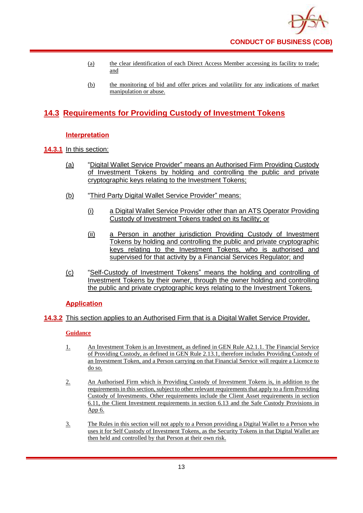

- (a) the clear identification of each Direct Access Member accessing its facility to trade; and
- (b) the monitoring of bid and offer prices and volatility for any indications of market manipulation or abuse.

## **14.3 Requirements for Providing Custody of Investment Tokens**

#### **Interpretation**

#### **14.3.1** In this section:

- (a) "Digital Wallet Service Provider" means an Authorised Firm Providing Custody of Investment Tokens by holding and controlling the public and private cryptographic keys relating to the Investment Tokens;
- (b) "Third Party Digital Wallet Service Provider" means:
	- (i) a Digital Wallet Service Provider other than an ATS Operator Providing Custody of Investment Tokens traded on its facility; or
	- (ii) a Person in another jurisdiction Providing Custody of Investment Tokens by holding and controlling the public and private cryptographic keys relating to the Investment Tokens, who is authorised and supervised for that activity by a Financial Services Regulator; and
- (c) "Self-Custody of Investment Tokens" means the holding and controlling of Investment Tokens by their owner, through the owner holding and controlling the public and private cryptographic keys relating to the Investment Tokens.

## **Application**

## **14.3.2** This section applies to an Authorised Firm that is a Digital Wallet Service Provider.

- 1. An Investment Token is an Investment, as defined in GEN Rule A2.1.1. The Financial Service of Providing Custody, as defined in GEN Rule 2.13.1, therefore includes Providing Custody of an Investment Token, and a Person carrying on that Financial Service will require a Licence to do so.
- 2. An Authorised Firm which is Providing Custody of Investment Tokens is, in addition to the requirements in this section, subject to other relevant requirements that apply to a firm Providing Custody of Investments. Other requirements include the Client Asset requirements in section 6.11, the Client Investment requirements in section 6.13 and the Safe Custody Provisions in App 6.
- 3. The Rules in this section will not apply to a Person providing a Digital Wallet to a Person who uses it for Self Custody of Investment Tokens, as the Security Tokens in that Digital Wallet are then held and controlled by that Person at their own risk.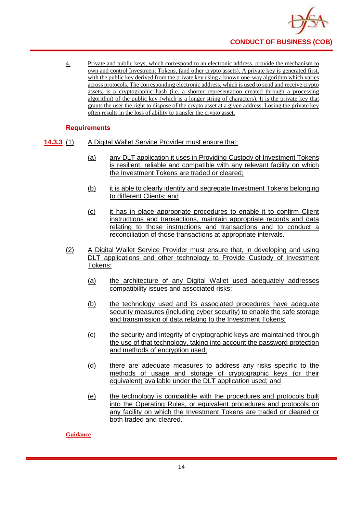

4. Private and public keys, which correspond to an electronic address, provide the mechanism to own and control Investment Tokens, (and other crypto assets). A private key is generated first, with the public key derived from the private key using a known one-way algorithm which varies across protocols. The corresponding electronic address, which is used to send and receive crypto assets, is a cryptographic hash (i.e. a shorter representation created through a processing algorithm) of the public key (which is a longer string of characters). It is the private key that grants the user the right to dispose of the crypto asset at a given address. Losing the private key often results in the loss of ability to transfer the crypto asset.

#### **Requirements**

- **14.3.3** (1) A Digital Wallet Service Provider must ensure that:
	- (a) any DLT application it uses in Providing Custody of Investment Tokens is resilient, reliable and compatible with any relevant facility on which the Investment Tokens are traded or cleared;
	- (b) it is able to clearly identify and segregate Investment Tokens belonging to different Clients; and
	- (c) it has in place appropriate procedures to enable it to confirm Client instructions and transactions, maintain appropriate records and data relating to those instructions and transactions and to conduct a reconciliation of those transactions at appropriate intervals.
	- (2) A Digital Wallet Service Provider must ensure that, in developing and using DLT applications and other technology to Provide Custody of Investment Tokens:
		- (a) the architecture of any Digital Wallet used adequately addresses compatibility issues and associated risks;
		- (b) the technology used and its associated procedures have adequate security measures (including cyber security) to enable the safe storage and transmission of data relating to the Investment Tokens;
		- (c) the security and integrity of cryptographic keys are maintained through the use of that technology, taking into account the password protection and methods of encryption used;
		- (d) there are adequate measures to address any risks specific to the methods of usage and storage of cryptographic keys (or their equivalent) available under the DLT application used; and
		- (e) the technology is compatible with the procedures and protocols built into the Operating Rules, or equivalent procedures and protocols on any facility on which the Investment Tokens are traded or cleared or both traded and cleared.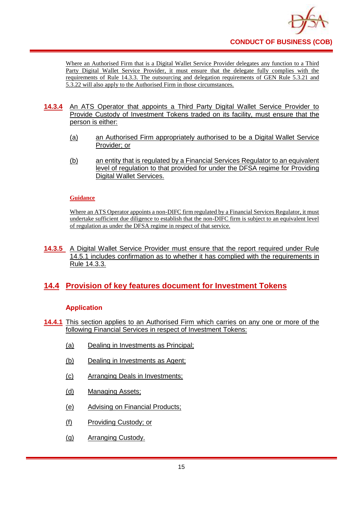

Where an Authorised Firm that is a Digital Wallet Service Provider delegates any function to a Third Party Digital Wallet Service Provider, it must ensure that the delegate fully complies with the requirements of Rule 14.3.3. The outsourcing and delegation requirements of GEN Rule 5.3.21 and 5.3.22 will also apply to the Authorised Firm in those circumstances.

- 14.3.4 An ATS Operator that appoints a Third Party Digital Wallet Service Provider to Provide Custody of Investment Tokens traded on its facility, must ensure that the person is either:
	- (a) an Authorised Firm appropriately authorised to be a Digital Wallet Service Provider; or
	- (b) an entity that is regulated by a Financial Services Regulator to an equivalent level of regulation to that provided for under the DFSA regime for Providing Digital Wallet Services.

#### **Guidance**

Where an ATS Operator appoints a non-DIFC firm regulated by a Financial Services Regulator, it must undertake sufficient due diligence to establish that the non-DIFC firm is subject to an equivalent level of regulation as under the DFSA regime in respect of that service.

**14.3.5** A Digital Wallet Service Provider must ensure that the report required under Rule 14.5.1 includes confirmation as to whether it has complied with the requirements in Rule 14.3.3.

## **14.4 Provision of key features document for Investment Tokens**

#### **Application**

- **14.4.1** This section applies to an Authorised Firm which carries on any one or more of the following Financial Services in respect of Investment Tokens:
	- (a) Dealing in Investments as Principal;
	- (b) Dealing in Investments as Agent;
	- (c) Arranging Deals in Investments;
	- (d) Managing Assets;
	- (e) Advising on Financial Products;
	- (f) Providing Custody; or
	- (g) Arranging Custody.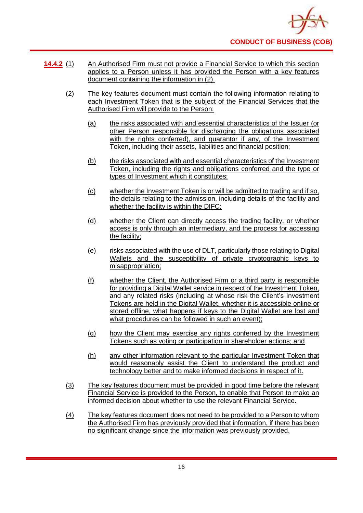

- **14.4.2** (1) An Authorised Firm must not provide a Financial Service to which this section applies to a Person unless it has provided the Person with a key features document containing the information in (2).
	- (2) The key features document must contain the following information relating to each Investment Token that is the subject of the Financial Services that the Authorised Firm will provide to the Person:
		- (a) the risks associated with and essential characteristics of the Issuer (or other Person responsible for discharging the obligations associated with the rights conferred), and guarantor if any, of the Investment Token, including their assets, liabilities and financial position;
		- (b) the risks associated with and essential characteristics of the Investment Token, including the rights and obligations conferred and the type or types of Investment which it constitutes;
		- (c) whether the Investment Token is or will be admitted to trading and if so, the details relating to the admission, including details of the facility and whether the facility is within the DIFC;
		- (d) whether the Client can directly access the trading facility, or whether access is only through an intermediary, and the process for accessing the facility;
		- (e) risks associated with the use of DLT, particularly those relating to Digital Wallets and the susceptibility of private cryptographic keys to misappropriation;
		- (f) whether the Client, the Authorised Firm or a third party is responsible for providing a Digital Wallet service in respect of the Investment Token, and any related risks (including at whose risk the Client's Investment Tokens are held in the Digital Wallet, whether it is accessible online or stored offline, what happens if keys to the Digital Wallet are lost and what procedures can be followed in such an event);
		- (g) how the Client may exercise any rights conferred by the Investment Tokens such as voting or participation in shareholder actions; and
		- (h) any other information relevant to the particular Investment Token that would reasonably assist the Client to understand the product and technology better and to make informed decisions in respect of it.
	- (3) The key features document must be provided in good time before the relevant Financial Service is provided to the Person, to enable that Person to make an informed decision about whether to use the relevant Financial Service.
	- (4) The key features document does not need to be provided to a Person to whom the Authorised Firm has previously provided that information, if there has been no significant change since the information was previously provided.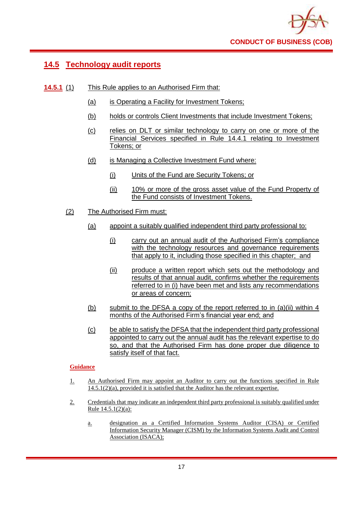

## **14.5 Technology audit reports**

- **14.5.1** (1) This Rule applies to an Authorised Firm that:
	- (a) is Operating a Facility for Investment Tokens;
	- (b) holds or controls Client Investments that include Investment Tokens;
	- (c) relies on DLT or similar technology to carry on one or more of the Financial Services specified in Rule 14.4.1 relating to Investment Tokens; or
	- (d) is Managing a Collective Investment Fund where:
		- (i) Units of the Fund are Security Tokens; or
		- (ii) 10% or more of the gross asset value of the Fund Property of the Fund consists of Investment Tokens.
	- (2) The Authorised Firm must:
		- (a) appoint a suitably qualified independent third party professional to:
			- (i) carry out an annual audit of the Authorised Firm's compliance with the technology resources and governance requirements that apply to it, including those specified in this chapter; and
			- (ii) produce a written report which sets out the methodology and results of that annual audit, confirms whether the requirements referred to in (i) have been met and lists any recommendations or areas of concern;
		- (b) submit to the DFSA a copy of the report referred to in (a)(ii) within 4 months of the Authorised Firm's financial year end; and
		- (c) be able to satisfy the DFSA that the independent third party professional appointed to carry out the annual audit has the relevant expertise to do so, and that the Authorised Firm has done proper due diligence to satisfy itself of that fact.

- 1. An Authorised Firm may appoint an Auditor to carry out the functions specified in Rule 14.5.1(2)(a), provided it is satisfied that the Auditor has the relevant expertise.
- 2. Credentials that may indicate an independent third party professional is suitably qualified under Rule 14.5.1(2)(a):
	- a. designation as a Certified Information Systems Auditor (CISA) or Certified Information Security Manager (CISM) by the Information Systems Audit and Control Association (ISACA);